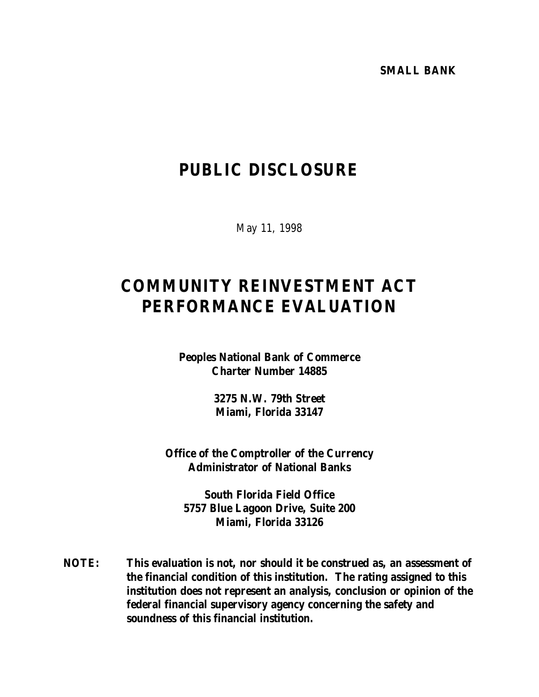**SMALL BANK**

# **PUBLIC DISCLOSURE**

May 11, 1998

# **COMMUNITY REINVESTMENT ACT PERFORMANCE EVALUATION**

**Peoples National Bank of Commerce Charter Number 14885**

> **3275 N.W. 79th Street Miami, Florida 33147**

**Office of the Comptroller of the Currency Administrator of National Banks**

**South Florida Field Office 5757 Blue Lagoon Drive, Suite 200 Miami, Florida 33126**

**NOTE: This evaluation is not, nor should it be construed as, an assessment of the financial condition of this institution. The rating assigned to this institution does not represent an analysis, conclusion or opinion of the federal financial supervisory agency concerning the safety and soundness of this financial institution.**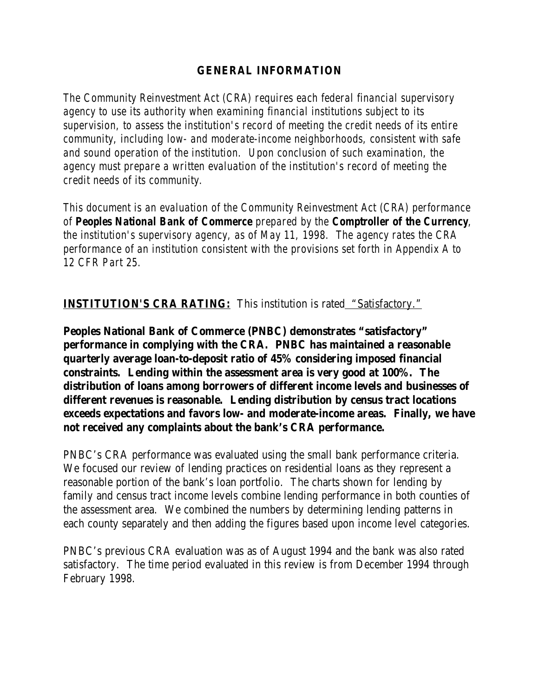## **GENERAL INFORMATION**

*The Community Reinvestment Act (CRA) requires each federal financial supervisory agency to use its authority when examining financial institutions subject to its supervision, to assess the institution's record of meeting the credit needs of its entire community, including low- and moderate-income neighborhoods, consistent with safe and sound operation of the institution. Upon conclusion of such examination, the agency must prepare a written evaluation of the institution's record of meeting the credit needs of its community.* 

*This document is an evaluation of the Community Reinvestment Act (CRA) performance of Peoples National Bank of Commerce prepared by the Comptroller of the Currency, the institution's supervisory agency, as of May 11, 1998. The agency rates the CRA performance of an institution consistent with the provisions set forth in Appendix A to 12 CFR Part 25.*

**INSTITUTION'S CRA RATING:** This institution is rated "Satisfactory."

**Peoples National Bank of Commerce (PNBC) demonstrates "satisfactory" performance in complying with the CRA. PNBC has maintained a reasonable quarterly average loan-to-deposit ratio of 45% considering imposed financial constraints. Lending within the assessment area is very good at 100%. The distribution of loans among borrowers of different income levels and businesses of different revenues is reasonable. Lending distribution by census tract locations exceeds expectations and favors low- and moderate-income areas. Finally, we have not received any complaints about the bank's CRA performance.**

PNBC's CRA performance was evaluated using the small bank performance criteria. We focused our review of lending practices on residential loans as they represent a reasonable portion of the bank's loan portfolio. The charts shown for lending by family and census tract income levels combine lending performance in both counties of the assessment area. We combined the numbers by determining lending patterns in each county separately and then adding the figures based upon income level categories.

PNBC's previous CRA evaluation was as of August 1994 and the bank was also rated satisfactory. The time period evaluated in this review is from December 1994 through February 1998.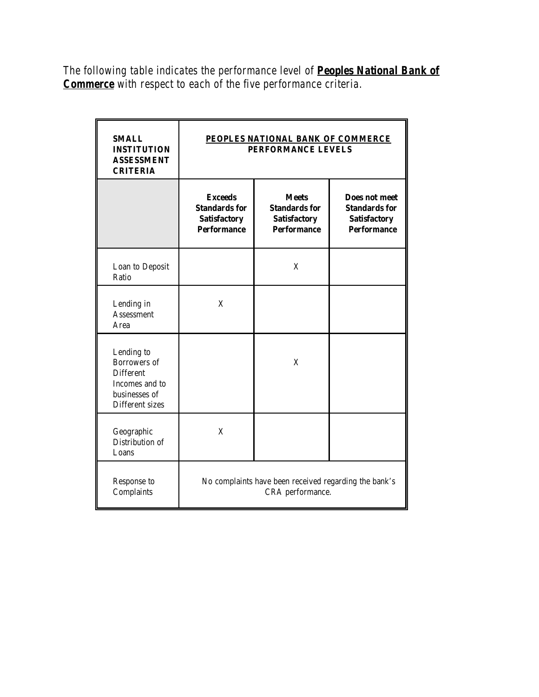*The following table indicates the performance level of Peoples National Bank of Commerce with respect to each of the five performance criteria.*

| <b>SMALL</b><br><b>INSTITUTION</b><br><b>ASSESSMENT</b><br><b>CRITERIA</b>                                  | PEOPLES NATIONAL BANK OF COMMERCE<br>PERFORMANCE LEVELS                             |                                                                                   |                                                                                           |
|-------------------------------------------------------------------------------------------------------------|-------------------------------------------------------------------------------------|-----------------------------------------------------------------------------------|-------------------------------------------------------------------------------------------|
|                                                                                                             | <b>Exceeds</b><br><b>Standards for</b><br><b>Satisfactory</b><br><b>Performance</b> | <b>Meets</b><br><b>Standards for</b><br><b>Satisfactory</b><br><b>Performance</b> | <b>Does not meet</b><br><b>Standards for</b><br><b>Satisfactory</b><br><b>Performance</b> |
| Loan to Deposit<br>Ratio                                                                                    |                                                                                     | X                                                                                 |                                                                                           |
| Lending in<br><b>Assessment</b><br>Area                                                                     | X                                                                                   |                                                                                   |                                                                                           |
| Lending to<br><b>Borrowers</b> of<br><b>Different</b><br>Incomes and to<br>businesses of<br>Different sizes |                                                                                     | X                                                                                 |                                                                                           |
| Geographic<br>Distribution of<br>Loans                                                                      | X                                                                                   |                                                                                   |                                                                                           |
| Response to<br>Complaints                                                                                   | No complaints have been received regarding the bank's<br>CRA performance.           |                                                                                   |                                                                                           |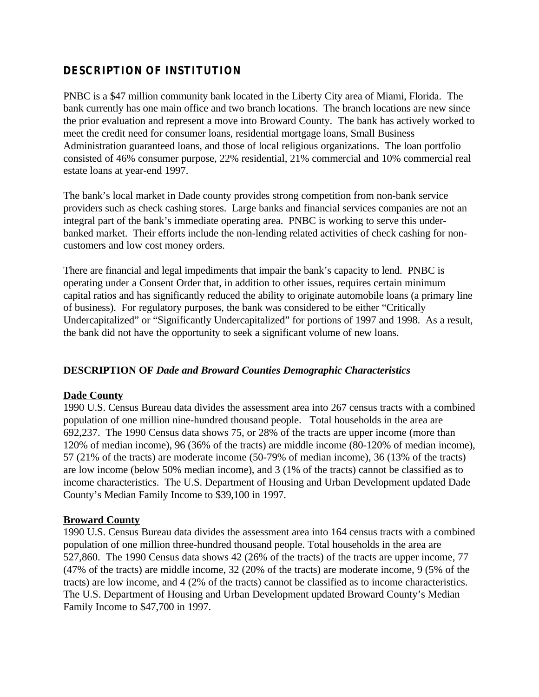## **DESCRIPTION OF INSTITUTION**

PNBC is a \$47 million community bank located in the Liberty City area of Miami, Florida. The bank currently has one main office and two branch locations. The branch locations are new since the prior evaluation and represent a move into Broward County. The bank has actively worked to meet the credit need for consumer loans, residential mortgage loans, Small Business Administration guaranteed loans, and those of local religious organizations. The loan portfolio consisted of 46% consumer purpose, 22% residential, 21% commercial and 10% commercial real estate loans at year-end 1997.

The bank's local market in Dade county provides strong competition from non-bank service providers such as check cashing stores. Large banks and financial services companies are not an integral part of the bank's immediate operating area. PNBC is working to serve this underbanked market. Their efforts include the non-lending related activities of check cashing for noncustomers and low cost money orders.

There are financial and legal impediments that impair the bank's capacity to lend. PNBC is operating under a Consent Order that, in addition to other issues, requires certain minimum capital ratios and has significantly reduced the ability to originate automobile loans (a primary line of business). For regulatory purposes, the bank was considered to be either "Critically Undercapitalized" or "Significantly Undercapitalized" for portions of 1997 and 1998. As a result, the bank did not have the opportunity to seek a significant volume of new loans.

### **DESCRIPTION OF** *Dade and Broward Counties Demographic Characteristics*

### **Dade County**

1990 U.S. Census Bureau data divides the assessment area into 267 census tracts with a combined population of one million nine-hundred thousand people. Total households in the area are 692,237. The 1990 Census data shows 75, or 28% of the tracts are upper income (more than 120% of median income), 96 (36% of the tracts) are middle income (80-120% of median income), 57 (21% of the tracts) are moderate income (50-79% of median income), 36 (13% of the tracts) are low income (below 50% median income), and 3 (1% of the tracts) cannot be classified as to income characteristics. The U.S. Department of Housing and Urban Development updated Dade County's Median Family Income to \$39,100 in 1997.

### **Broward County**

1990 U.S. Census Bureau data divides the assessment area into 164 census tracts with a combined population of one million three-hundred thousand people. Total households in the area are 527,860. The 1990 Census data shows 42 (26% of the tracts) of the tracts are upper income, 77 (47% of the tracts) are middle income, 32 (20% of the tracts) are moderate income, 9 (5% of the tracts) are low income, and 4 (2% of the tracts) cannot be classified as to income characteristics. The U.S. Department of Housing and Urban Development updated Broward County's Median Family Income to \$47,700 in 1997.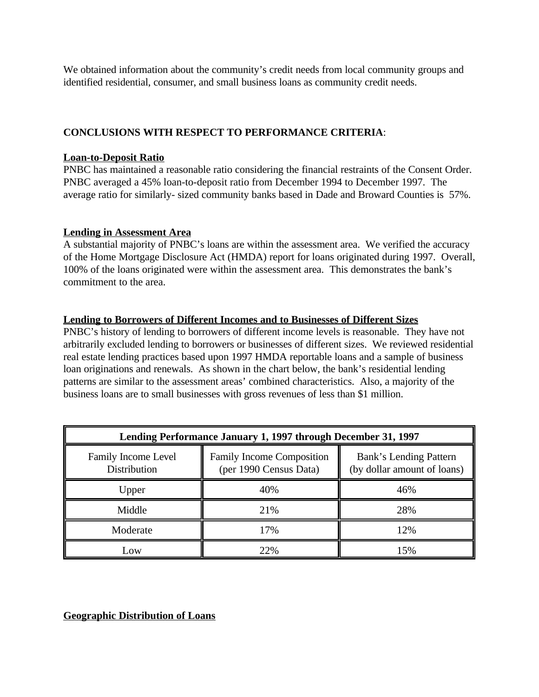We obtained information about the community's credit needs from local community groups and identified residential, consumer, and small business loans as community credit needs.

## **CONCLUSIONS WITH RESPECT TO PERFORMANCE CRITERIA**:

## **Loan-to-Deposit Ratio**

PNBC has maintained a reasonable ratio considering the financial restraints of the Consent Order. PNBC averaged a 45% loan-to-deposit ratio from December 1994 to December 1997. The average ratio for similarly- sized community banks based in Dade and Broward Counties is 57%.

## **Lending in Assessment Area**

A substantial majority of PNBC's loans are within the assessment area. We verified the accuracy of the Home Mortgage Disclosure Act (HMDA) report for loans originated during 1997. Overall, 100% of the loans originated were within the assessment area. This demonstrates the bank's commitment to the area.

## **Lending to Borrowers of Different Incomes and to Businesses of Different Sizes**

PNBC's history of lending to borrowers of different income levels is reasonable. They have not arbitrarily excluded lending to borrowers or businesses of different sizes. We reviewed residential real estate lending practices based upon 1997 HMDA reportable loans and a sample of business loan originations and renewals. As shown in the chart below, the bank's residential lending patterns are similar to the assessment areas' combined characteristics. Also, a majority of the business loans are to small businesses with gross revenues of less than \$1 million.

| Lending Performance January 1, 1997 through December 31, 1997 |                                                            |                                                       |  |  |
|---------------------------------------------------------------|------------------------------------------------------------|-------------------------------------------------------|--|--|
| <b>Family Income Level</b><br>Distribution                    | <b>Family Income Composition</b><br>(per 1990 Census Data) | Bank's Lending Pattern<br>(by dollar amount of loans) |  |  |
| Upper                                                         | 40%                                                        | 46%                                                   |  |  |
| Middle                                                        | 21%                                                        | 28%                                                   |  |  |
| Moderate                                                      | 17%                                                        | 12%                                                   |  |  |
| Low                                                           | 22%                                                        | 15%                                                   |  |  |

## **Geographic Distribution of Loans**